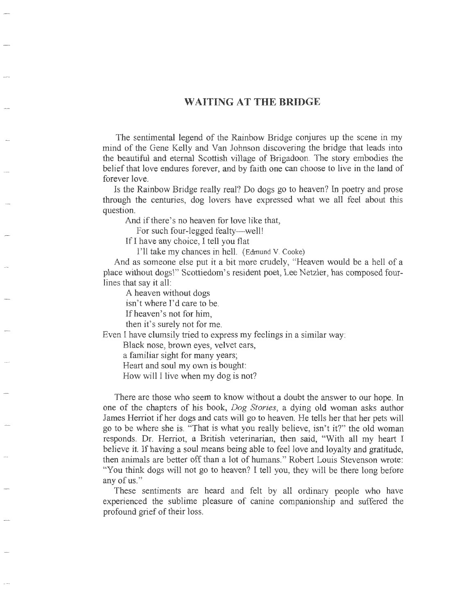## **WAITING AT THE BRIDGE**

The sentimental legend of the Rainbow Bridge conjures up the scene in my mind of the Gene Kelly and Van Johnson discovering the bridge that leads into the beautiful and eternal Scottish village of Brigadoon. The story embodies the belief that love endures forever, and by faith one can choose to live in the land of forever love.

Is the Rainbow Bridge really real? Do dogs go to heaven? In poetry and prose through the centuries, dog lovers have expressed what we all feel about this question.

And if there's no heaven for love like that,

For such four-legged fealty--well!

If I have any choice, I tell you flat

I'll take my chances in hell. (Edmund V. Cooke)

And as someone else put it a bit more crudely, "Heaven would be a hell of a place without dogs\" Scottiedom's resident poet, Lee Netzler, has composed fourlines that say it all:

A heaven without dogs

isn't where I'd care to be.

If heaven's not for him,

then it's surely not for me.

Even I have clumsily tried to express my feelings in a similar way:

Black nose, brown eyes, velvet ears,

a familiar sight for many years;

Heart and soul my own is bought:

How will I live when my dog is not?

There are those who seem to know without a doubt the answer to our hope. In one of the chapters of his book, *Dog Stories,* a dying old woman asks author James Herriot if her dogs and cats will go to heaven. He tells her that her pets will go to be where she is. "That is what you really believe, isn't it?" the old woman responds. Dr. Herriot, a British veterinarian, then said, "With all my heart I believe it. If having a soul means being able to feel love and loyalty and gratitude, then animals are better off than a lot of humans." Robert Louis Stevenson wrote: "You think dogs will not go to heaven? I tell you, they will be there long before any of us."

These sentiments are heard and felt by all ordinary people who have experienced the sublime pleasure of canine companionship and suffered the profound grief of their loss.